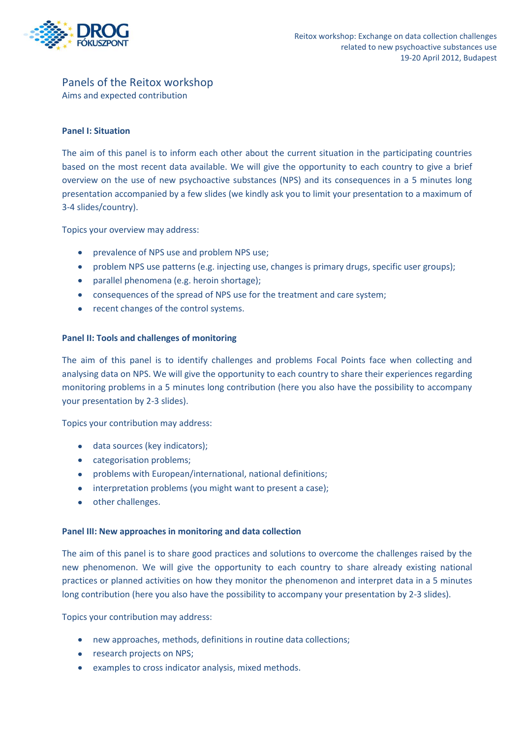

# Panels of the Reitox workshop

Aims and expected contribution

## **Panel I: Situation**

The aim of this panel is to inform each other about the current situation in the participating countries based on the most recent data available. We will give the opportunity to each country to give a brief overview on the use of new psychoactive substances (NPS) and its consequences in a 5 minutes long presentation accompanied by a few slides (we kindly ask you to limit your presentation to a maximum of 3-4 slides/country).

Topics your overview may address:

- prevalence of NPS use and problem NPS use;
- problem NPS use patterns (e.g. injecting use, changes is primary drugs, specific user groups);
- parallel phenomena (e.g. heroin shortage);
- consequences of the spread of NPS use for the treatment and care system;
- recent changes of the control systems.

#### **Panel II: Tools and challenges of monitoring**

The aim of this panel is to identify challenges and problems Focal Points face when collecting and analysing data on NPS. We will give the opportunity to each country to share their experiences regarding monitoring problems in a 5 minutes long contribution (here you also have the possibility to accompany your presentation by 2-3 slides).

Topics your contribution may address:

- data sources (key indicators);
- categorisation problems;
- problems with European/international, national definitions;
- interpretation problems (you might want to present a case);
- other challenges.

#### **Panel III: New approaches in monitoring and data collection**

The aim of this panel is to share good practices and solutions to overcome the challenges raised by the new phenomenon. We will give the opportunity to each country to share already existing national practices or planned activities on how they monitor the phenomenon and interpret data in a 5 minutes long contribution (here you also have the possibility to accompany your presentation by 2-3 slides).

Topics your contribution may address:

- new approaches, methods, definitions in routine data collections;
- **•** research projects on NPS;
- examples to cross indicator analysis, mixed methods.